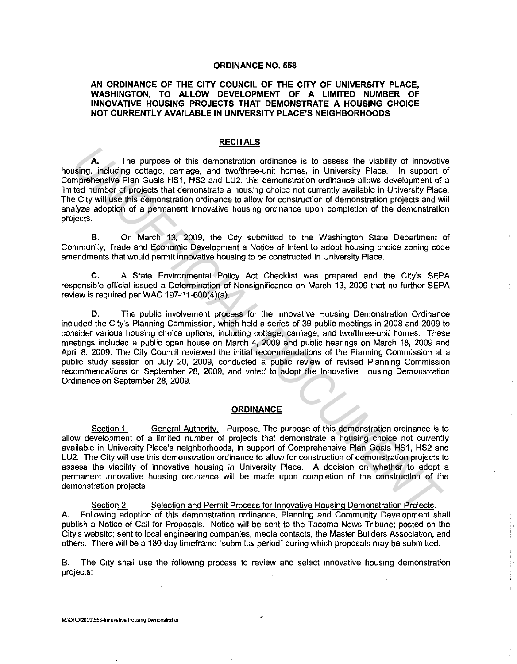#### **ORDINANCE NO. 558**

## **AN ORDINANCE OF THE CITY COUNCIL OF THE CITY OF UNIVERSITY PLACE, WASHINGTON, TO ALLOW DEVELOPMENT OF A LIMITED NUMBER OF INNOVATIVE HOUSING PROJECTS THAT DEMONSTRATE A HOUSING CHOICE NOT CURRENTLY AVAILABLE IN UNIVERSITY PLACE'S NEIGHBORHOODS**

### **RECITALS**

**A.** The purpose of this demonstration ordinance is to assess the viability of innovative housing, including cottage, carriage, and two/three-unit homes, in University Place. In support of Comprehensive Plan Goals HS1, HS2 and LU2, this demonstration ordinance allows development of a limited number of projects that demonstrate a housing choice not currently available in University Place. The City will use this demonstration ordinance to allow for construction of demonstration projects and will analyze adoption of a permanent innovative housing ordinance upon completion of the demonstration projects.

**B.** On March 13, 2009, the City submitted to the Washington State Department of Community, Trade and Economic Development a Notice of Intent to adopt housing choice zoning code amendments that would permit innovative housing to be constructed in University Place.

**C.** A State Environmental Policy Act Checklist was prepared and the City's SEPA responsible official issued a Determination of Nonsignificance on March 13, 2009 that no further SEPA review is required per WAC 197-11-600(4)(a).

**D.** The public involvement process for the Innovative Housing Demonstration Ordinance included the City's Planning Commission, which held a series of 39 public meetings in 2008 and 2009 to consider various housing choice options, including cottage, carriage, and two/three-unit homes. These meetings included a public open house on March 4, 2009 and public hearings on March 18, 2009 and April 8, 2009. The City Council reviewed the initial recommendations of the Planning Commission at a public study session on July 20, 2009, conducted a public review of revised Planning Commission recommendations on September 28, 2009, and voted to adopt the Innovative Housing Demonstration Ordinance on September 28, 2009. **A.** The purpose of this demonstration ordinance is to assess the viability of innovation moreheaps in compariments in the more in the more in the more in the more in the more in the more in the more in the more in the mor

#### **ORDINANCE**

Section 1. General Authority. Purpose. The purpose of this demonstration ordinance is to allow development of a limited number of projects that demonstrate a housing choice not currently available in University Place's neighborhoods, in support of Comprehensive Plan Goals HS1, HS2 and LU2. The City will use this demonstration ordinance to allow for construction of demonstration projects to assess the viability of innovative housing in University Place. A decision on whether to adopt a permanent innovative housing ordinance will be made upon completion of the construction of the demonstration projects.

Section 2. Selection and Permit Process for Innovative Housing Demonstration Projects. A. Following adoption of this demonstration ordinance, Planning and Community Development shall publish a Notice of Call for Proposals. Notice will be sent to the Tacoma News Tribune; posted on the City's website; sent to local engineering companies, media contacts, the Master Builders Association, and others. There will be a 180 day timeframe "submittal period" during which proposals may be submitted.

B. The City shall use the following process to review and select innovative housing demonstration projects: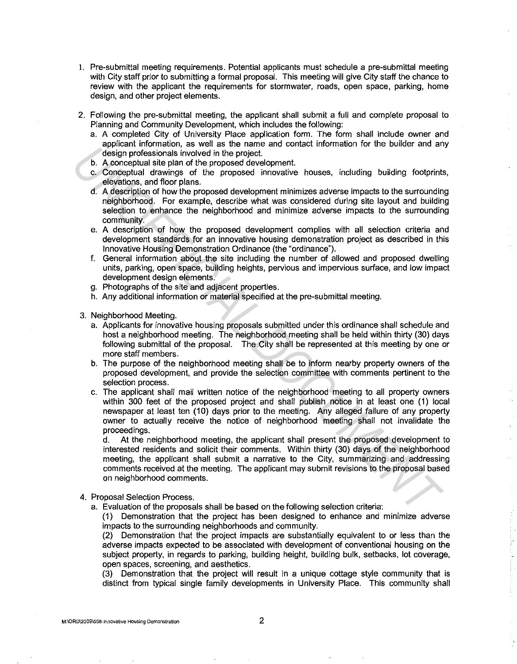- I. Pre-submittal meeting requirements. Potential applicants must schedule a pre-submittal meeting with City staff prior to submitting a formal proposal. This meeting will give City staff the chance to review with the applicant the requirements for stormwater, roads, open space, parking, home design, and other project elements.
- 2. Following the pre-submittal meeting, the applicant shall submit a full and complete proposal to Planning and Community Development, which includes the following:
	- a. A completed City of University Place application form. The form shall include owner and applicant information, as well as the name and contact information for the builder and any design professionals involved in the project.
	- b. A conceptual site plan of the proposed development.
	- c. Conceptual drawings of the proposed innovative houses, including building footprints, elevations, and floor plans.
	- d. A description of how the proposed development minimizes adverse impacts to the surrounding neighborhood. For example, describe what was considered during site layout and building selection to enhance the neighborhood and minimize adverse impacts to the surrounding community.
	- e. A description of how the proposed development complies with all selection criteria and development standards for an innovative housing demonstration project as described in this Innovative Housing Demonstration Ordinance (the "ordinance").
	- f. General information about the site including the number of allowed and proposed dwelling units, parking, open space, building heights, pervious and impervious surface, and low impact development design elements.
	- g. Photographs of the site and adjacent properties.
	- h. Any additional information or material specified at the pre-submittal meeting.
- 3. Neighborhood Meeting.
	- a. Applicants for innovative housing proposals submitted under this ordinance shall schedule and host a neighborhood meeting. The neighborhood meeting shall be held within thirty (30) days following submittal of the proposal. The City shall be represented at this meeting by one or more staff members.
	- b. The purpose of the neighborhood meeting shall be to inform nearby property owners of the proposed development, and provide the selection committee with comments pertinent to the selection process.
- c. The applicant shall mail written notice of the neighborhood meeting to all property owners within 300 feet of the proposed project and shall publish notice in at least one (1) local newspaper at least ten (10) days prior to the meeting. Any alleged failure of any property owner to actually receive the notice of neighborhood meeting shall not invalidate the proceedings. **University and the system of the proposed development was well as the system of the proposed of the proposed development.<br>
<b>C.** Consequent data when system and the proposed information is the system of the proposed inform

At the neighborhood meeting, the applicant shall present the proposed development to interested residents and solicit their comments. Within thirty (30) days of the neighborhood meeting, the applicant shall submit a narrative to the City, summarizing and addressing comments received at the meeting. The applicant may submit revisions to the proposal based on neighborhood comments.

- 4. Proposal Selection Process.
	- a. Evaluation of the proposals shall be based on the following selection criteria:

(1) Demonstration that the project has been designed to enhance and minimize adverse impacts to the surrounding neighborhoods and community.

(2) Demonstration that the project impacts are substantially equivalent to or less than the adverse impacts expected to be associated with development of conventional housing on the subject property, in regards to parking, building height, building bulk, setbacks, lot coverage, open spaces, screening, and aesthetics.

(3} Demonstration that the project will result in a unique cottage style community that is distinct from typical single family developments in University Place. This community shall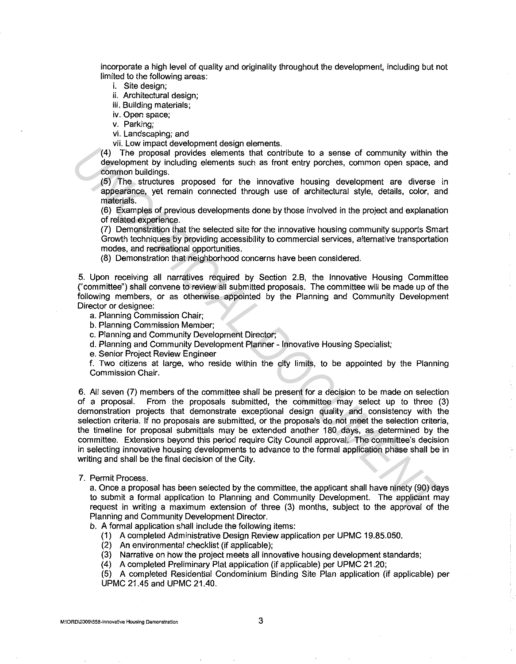incorporate a high level of quality and originality throughout the development, including but not limited to the following areas:

i. Site design;

ii. Architectural design;

iii. Building materials;

iv. Open space;

v. Parking;

vi. Landscaping; and

vii. Low impact development design elements.

( 4) The proposal provides elements that contribute to a sense of community within the development by including elements such as front entry porches, common open space, and common buildings.

(5) The structures proposed for the innovative housing development are diverse in appearance, yet remain connected through use of architectural style, details, color, and materials.

(6) Examples of previous developments done by those involved in the project and explanation of related experience.

(7) Demonstration that the selected site for the innovative housing community supports Smart Growth techniques by providing accessibility to commercial services, alternative transportation modes, and recreational opportunities.

(8) Demonstration that neighborhood concerns have been considered.

5. Upon receiving all narratives required by Section 2.B, the Innovative Housing Committee ("committee") shall convene to review all submitted proposals. The committee will be made up of the following members, or as otherwise appointed by the Planning and Community Development Director or designee:

a. Planning Commission Chair;

b. Planning Commission Member;

c. Planning and Community Development Director;

d. Planning and Community Development Planner - Innovative Housing Specialist;

e. Senior Project Review Engineer

f. Two citizens at large, who reside within the city limits, to be appointed by the Planning Commission Chair.

6. All seven (7) members of the committee shall be present for a decision to be made on selection of a proposal. From the proposals submitted, the committee may select up to three (3) demonstration projects that demonstrate exceptional design quality and consistency with the selection criteria. If no proposals are submitted, or the proposals do not meet the selection criteria, the timeline for proposal submittals may be extended another 180 days, as determined by the committee. Extensions beyond this period require City Council approval. The committee's decision in selecting innovative housing developments to advance to the formal application phase shall be in writing and shall be the final decision of the City. (4). The ancesear to consider the search of the consideration of the consideration of the applicant in the consideration of the ances of the innovative determination and the state of the innovative housing development are

7. Permit Process.

a. Once a proposal has been selected by the committee, the applicant shall have ninety (90) days to submit a formal application to Planning and Community Development. The applicant may request in writing a maximum extension of three (3) months, subject to the approval of the Planning and Community Development Director.

b. A formal application shall include the following items:

- (1) A completed Administrative Design Review application per UPMC 19.85.050.
- (2) An environmental checklist (if applicable);
- (3) Narrative on how the project meets all innovative housing development standards;

(4) A completed Preliminary Plat application (if applicable) per UPMC 21.20;

(5) A completed Residential Condominium Binding Site Plan application (if applicable) per UPMC 21.45 and UPMC 21.40.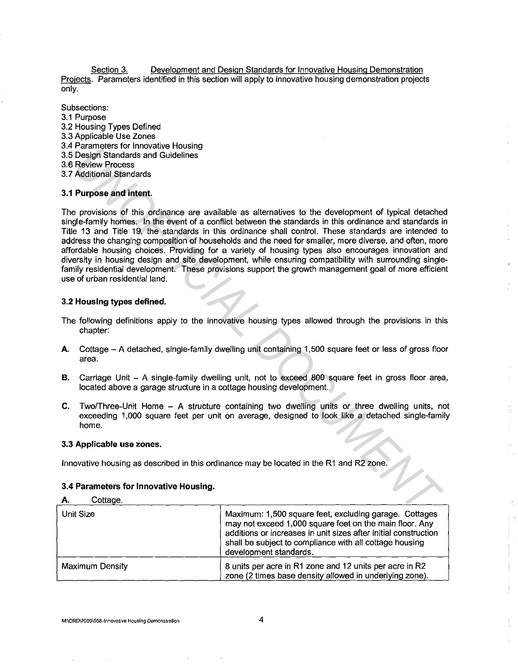Section 3. Development and Design Standards for Innovative Housing Demonstration Projects. Parameters identified in this section will apply to innovative housing demonstration projects only.

Subsections: 3.1 Purpose 3.2 Housing Types Defined 3.3 Applicable Use Zones 3.4 Parameters for Innovative Housing 3.5 Design Standards and Guidelines 3.6 Review Process 3. 7 Additional Standards

## **3.1 Purpose and intent.**

The provisions of this ordinance are available as alternatives to the development of typical detached single-family homes. In the event of a conflict between the standards in this ordinance and standards in Title 13 and Title 19, the standards in this ordinance shall control. These standards are intended to address the changing composition of households and the need for smaller, more diverse, and often, more affordable housing choices. Providing for a variety of housing types also encourages innovation and diversity in housing design and site development, while ensuring compatibility with surrounding singlefamily residential development. These provisions support the growth management goal of more efficient use of urban residential land. Parameters on innovative housing<br>
Except Shandards and Guidelines<br>
Recipin Shandards and Guidelines<br>
Accidional Standards<br>
Accidional Standards<br>
Accidional Standards<br>
2 Parameters<br>
2 Accidional Standards<br>
2 Parameters and

## **3.2 Housing types defined.**

- The following definitions apply to the innovative housing types allowed through the provisions in this chapter:
- **A.** Cottage A detached, single-family dwelling unit containing 1,500 square feet or less of gross floor area.
- **B.** Carriage Unit A single-family dwelling unit, not to exceed 800 square feet in gross floor area, located above a garage structure in a cottage housing development.
- **C.** Two/Three-Unit Home A structure containing two dwelling units or three dwelling units, not exceeding 1,000 square feet per unit on average, designed to look like a detached single-family home.

## 3.3 **Applicable use zones.**

Innovative housing as described in this ordinance may be located in the R1 and R2 zone.

## **3.4 Parameters for Innovative Housing.**

### A. Cottage.

| Unit Size       | Maximum: 1,500 square feet, excluding garage. Cottages<br>may not exceed 1,000 square feet on the main floor. Any<br>additions or increases in unit sizes after initial construction<br>shall be subject to compliance with all cottage housing |
|-----------------|-------------------------------------------------------------------------------------------------------------------------------------------------------------------------------------------------------------------------------------------------|
|                 | development standards.                                                                                                                                                                                                                          |
| Maximum Density | 8 units per acre in R1 zone and 12 units per acre in R2<br>zone (2 times base density allowed in underlying zone).                                                                                                                              |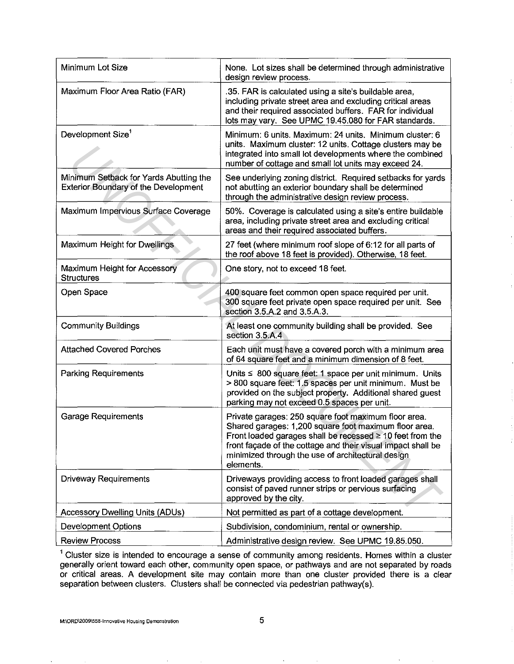| Minimum Lot Size                                                                      | None. Lot sizes shall be determined through administrative<br>design review process.                                                                                                                                                                                                                              |
|---------------------------------------------------------------------------------------|-------------------------------------------------------------------------------------------------------------------------------------------------------------------------------------------------------------------------------------------------------------------------------------------------------------------|
| Maximum Floor Area Ratio (FAR)                                                        | .35. FAR is calculated using a site's buildable area,<br>including private street area and excluding critical areas<br>and their required associated buffers. FAR for individual<br>lots may vary. See UPMC 19.45.080 for FAR standards.                                                                          |
| Development Size <sup>1</sup>                                                         | Minimum: 6 units. Maximum: 24 units. Minimum cluster: 6<br>units. Maximum cluster: 12 units. Cottage clusters may be<br>integrated into small lot developments where the combined<br>number of cottage and small lot units may exceed 24.                                                                         |
| Minimum Setback for Yards Abutting the<br><b>Exterior Boundary of the Development</b> | See underlying zoning district. Required setbacks for yards<br>not abutting an exterior boundary shall be determined<br>through the administrative design review process.                                                                                                                                         |
| Maximum Impervious Surface Coverage                                                   | 50%. Coverage is calculated using a site's entire buildable<br>area, including private street area and excluding critical<br>areas and their required associated buffers.                                                                                                                                         |
| Maximum Height for Dwellings                                                          | 27 feet (where minimum roof slope of 6:12 for all parts of<br>the roof above 18 feet is provided). Otherwise, 18 feet.                                                                                                                                                                                            |
| Maximum Height for Accessory<br><b>Structures</b>                                     | One story, not to exceed 18 feet.                                                                                                                                                                                                                                                                                 |
| Open Space                                                                            | 400 square feet common open space required per unit.<br>300 square feet private open space required per unit. See<br>section 3.5.A.2 and 3.5.A.3.                                                                                                                                                                 |
| <b>Community Buildings</b>                                                            | At least one community building shall be provided. See<br>section 3.5.A.4                                                                                                                                                                                                                                         |
| <b>Attached Covered Porches</b>                                                       | Each unit must have a covered porch with a minimum area<br>of 64 square feet and a minimum dimension of 8 feet.                                                                                                                                                                                                   |
| <b>Parking Requirements</b>                                                           | Units ≤ 800 square feet: 1 space per unit minimum. Units<br>> 800 square feet: 1.5 spaces per unit minimum. Must be<br>provided on the subject property. Additional shared guest<br>parking may not exceed 0.5 spaces per unit.                                                                                   |
| <b>Garage Requirements</b>                                                            | Private garages: 250 square foot maximum floor area.<br>Shared garages: 1,200 square foot maximum floor area.<br>Front loaded garages shall be recessed $\geq 10$ feet from the<br>front façade of the cottage and their visual impact shall be<br>minimized through the use of architectural design<br>elements. |
| <b>Driveway Requirements</b>                                                          | Driveways providing access to front loaded garages shall<br>consist of paved runner strips or pervious surfacing<br>approved by the city.                                                                                                                                                                         |
| <b>Accessory Dwelling Units (ADUs)</b>                                                | Not permitted as part of a cottage development.                                                                                                                                                                                                                                                                   |
| Development Options                                                                   | Subdivision, condominium, rental or ownership.                                                                                                                                                                                                                                                                    |
| <b>Review Process</b>                                                                 | Administrative design review. See UPMC 19.85.050.                                                                                                                                                                                                                                                                 |

<sup>1</sup> Cluster size is intended to encourage a sense of community among residents. Homes within a cluster generally orient toward each other, community open space, or pathways and are not separated by roads or critical areas. A development site may contain more than one cluster provided there is a clear separation between clusters. Clusters shall be connected via pedestrian pathway(s).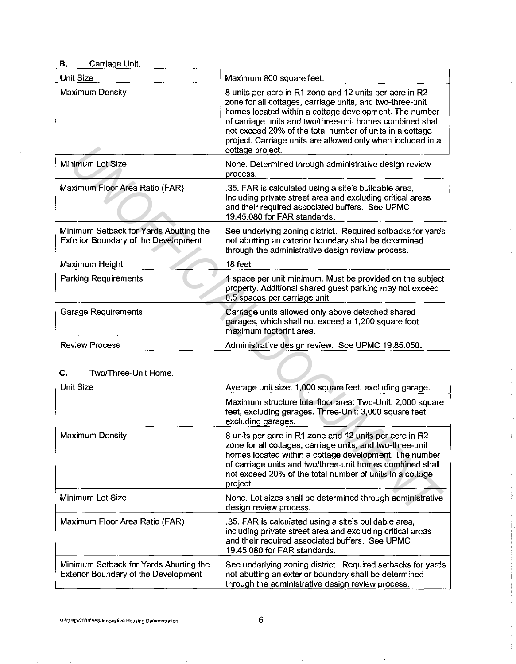# **B.** Carriage Unit.

| <b>Unit Size</b>                                                                      | Maximum 800 square feet.                                                                                                                                                                                                                                                                                                                                                                   |  |
|---------------------------------------------------------------------------------------|--------------------------------------------------------------------------------------------------------------------------------------------------------------------------------------------------------------------------------------------------------------------------------------------------------------------------------------------------------------------------------------------|--|
| <b>Maximum Density</b>                                                                | 8 units per acre in R1 zone and 12 units per acre in R2<br>zone for all cottages, carriage units, and two-three-unit<br>homes located within a cottage development. The number<br>of carriage units and two/three-unit homes combined shall<br>not exceed 20% of the total number of units in a cottage<br>project. Carriage units are allowed only when included in a<br>cottage project. |  |
| Minimum Lot Size                                                                      | None. Determined through administrative design review<br>process.                                                                                                                                                                                                                                                                                                                          |  |
| Maximum Floor Area Ratio (FAR)                                                        | .35. FAR is calculated using a site's buildable area,<br>including private street area and excluding critical areas<br>and their required associated buffers. See UPMC<br>19.45.080 for FAR standards.                                                                                                                                                                                     |  |
| Minimum Setback for Yards Abutting the<br><b>Exterior Boundary of the Development</b> | See underlying zoning district. Required setbacks for yards<br>not abutting an exterior boundary shall be determined<br>through the administrative design review process.                                                                                                                                                                                                                  |  |
| Maximum Height                                                                        | 18 feet.                                                                                                                                                                                                                                                                                                                                                                                   |  |
| <b>Parking Requirements</b>                                                           | 1 space per unit minimum. Must be provided on the subject<br>property. Additional shared guest parking may not exceed<br>0.5 spaces per carriage unit.                                                                                                                                                                                                                                     |  |
| <b>Garage Requirements</b>                                                            | Carriage units allowed only above detached shared<br>garages, which shall not exceed a 1,200 square foot<br>maximum footprint area.                                                                                                                                                                                                                                                        |  |
| <b>Review Process</b>                                                                 | Administrative design review. See UPMC 19.85.050.                                                                                                                                                                                                                                                                                                                                          |  |
| Two/Three-Unit Home.<br>C.                                                            |                                                                                                                                                                                                                                                                                                                                                                                            |  |
| <b>Unit Size</b>                                                                      | Average unit size: 1,000 square feet, excluding garage.                                                                                                                                                                                                                                                                                                                                    |  |
|                                                                                       | Maximum structure total floor area: Two-Unit: 2,000 square<br>feet, excluding garages. Three-Unit: 3,000 square feet,<br>excluding garages.                                                                                                                                                                                                                                                |  |
| <b>Maximum Density</b>                                                                | 8 units per acre in R1 zone and 12 units per acre in R2<br>zone for all cottages, carriage units, and two-three-unit<br>homes located within a cottage development. The number<br>of carriage units and two/three-unit homes combined shall<br>not exceed 20% of the total number of units in a cottage<br>project.                                                                        |  |
| Minimum Lot Size                                                                      | None. Lot sizes shall be determined through administrative<br>design review process.                                                                                                                                                                                                                                                                                                       |  |

 $\bar{\mathbf{v}}$ 

# **C.** Two/Three-Unit Home.

| <b>Unit Size</b>                                                                      | Average unit size: 1,000 square feet, excluding garage.                                                                                                                                                                                                                                                             |
|---------------------------------------------------------------------------------------|---------------------------------------------------------------------------------------------------------------------------------------------------------------------------------------------------------------------------------------------------------------------------------------------------------------------|
|                                                                                       | Maximum structure total floor area: Two-Unit: 2,000 square<br>feet, excluding garages. Three-Unit: 3,000 square feet,<br>excluding garages.                                                                                                                                                                         |
| Maximum Density                                                                       | 8 units per acre in R1 zone and 12 units per acre in R2<br>zone for all cottages, carriage units, and two-three-unit<br>homes located within a cottage development. The number<br>of carriage units and two/three-unit homes combined shall<br>not exceed 20% of the total number of units in a cottage<br>project. |
| Minimum Lot Size                                                                      | None. Lot sizes shall be determined through administrative<br>design review process.                                                                                                                                                                                                                                |
| Maximum Floor Area Ratio (FAR)                                                        | .35. FAR is calculated using a site's buildable area,<br>including private street area and excluding critical areas<br>and their required associated buffers. See UPMC<br>19.45.080 for FAR standards.                                                                                                              |
| Minimum Setback for Yards Abutting the<br><b>Exterior Boundary of the Development</b> | See underlying zoning district. Required setbacks for yards<br>not abutting an exterior boundary shall be determined<br>through the administrative design review process.                                                                                                                                           |

 $\lambda$ 

 $\cdot$ 

 $\cdot$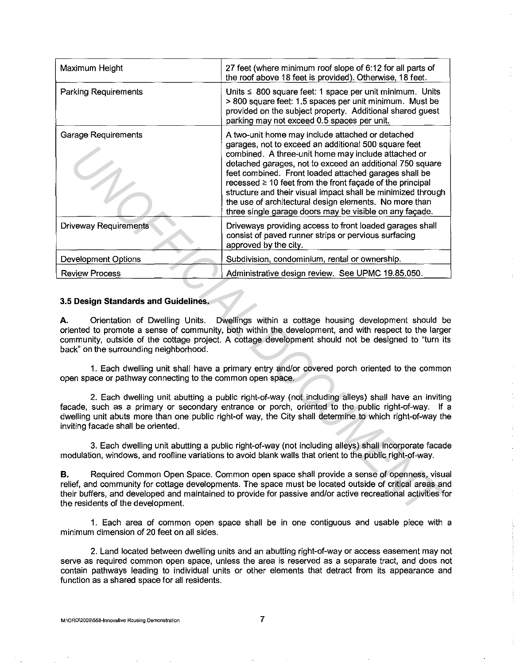| Maximum Height                                                                                                                                                                                                                                                                                                                                                                                   | 27 feet (where minimum roof slope of 6:12 for all parts of<br>the roof above 18 feet is provided). Otherwise, 18 feet.                                                                                                                                                                                                                                                                                                                                                                                                                      |  |
|--------------------------------------------------------------------------------------------------------------------------------------------------------------------------------------------------------------------------------------------------------------------------------------------------------------------------------------------------------------------------------------------------|---------------------------------------------------------------------------------------------------------------------------------------------------------------------------------------------------------------------------------------------------------------------------------------------------------------------------------------------------------------------------------------------------------------------------------------------------------------------------------------------------------------------------------------------|--|
| <b>Parking Requirements</b>                                                                                                                                                                                                                                                                                                                                                                      | Units $\leq 800$ square feet: 1 space per unit minimum. Units<br>> 800 square feet: 1.5 spaces per unit minimum. Must be<br>provided on the subject property. Additional shared guest<br>parking may not exceed 0.5 spaces per unit.                                                                                                                                                                                                                                                                                                        |  |
| <b>Garage Requirements</b>                                                                                                                                                                                                                                                                                                                                                                       | A two-unit home may include attached or detached<br>garages, not to exceed an additional 500 square feet<br>combined. A three-unit home may include attached or<br>detached garages, not to exceed an additional 750 square<br>feet combined. Front loaded attached garages shall be<br>recessed $\geq$ 10 feet from the front façade of the principal<br>structure and their visual impact shall be minimized through<br>the use of architectural design elements. No more than<br>three single garage doors may be visible on any façade. |  |
| <b>Driveway Requirements</b>                                                                                                                                                                                                                                                                                                                                                                     | Driveways providing access to front loaded garages shall<br>consist of paved runner strips or pervious surfacing<br>approved by the city.                                                                                                                                                                                                                                                                                                                                                                                                   |  |
| Development Options                                                                                                                                                                                                                                                                                                                                                                              | Subdivision, condominium, rental or ownership.                                                                                                                                                                                                                                                                                                                                                                                                                                                                                              |  |
| <b>Review Process</b>                                                                                                                                                                                                                                                                                                                                                                            | Administrative design review. See UPMC 19.85.050.                                                                                                                                                                                                                                                                                                                                                                                                                                                                                           |  |
| 3.5 Design Standards and Guidelines.<br>Orientation of Dwelling Units. Dwellings within a cottage housing development should be<br>А.<br>oriented to promote a sense of community, both within the development, and with respect to the larger<br>community, outside of the cottage project. A cottage development should not be designed to "turn its<br>back" on the surrounding neighborhood. |                                                                                                                                                                                                                                                                                                                                                                                                                                                                                                                                             |  |
| 1. Each dwelling unit shall have a primary entry and/or covered porch oriented to the commor<br>open space or pathway connecting to the common open space.                                                                                                                                                                                                                                       |                                                                                                                                                                                                                                                                                                                                                                                                                                                                                                                                             |  |
| 2. Each dwelling unit abutting a public right-of-way (not including alleys) shall have an inviting<br>facade, such as a primary or secondary entrance or porch, oriented to the public right-of-way. If a<br>dwelling unit abuts more than one public right-of way, the City shall determine to which right-of-way the<br>inviting facade shall be oriented.                                     |                                                                                                                                                                                                                                                                                                                                                                                                                                                                                                                                             |  |
| 3. Each dwelling unit abutting a public right-of-way (not including alleys) shall incorporate facade<br>modulation, windows, and roofline variations to avoid blank walls that orient to the public right-of-way.                                                                                                                                                                                |                                                                                                                                                                                                                                                                                                                                                                                                                                                                                                                                             |  |
| Required Common Open Space. Common open space shall provide a sense of openness, visua<br>В.<br>relief, and community for cottage developments. The space must be located outside of critical areas and<br>their buffers, and developed and maintained to provide for passive and/or active recreational activities for<br>the residents of the development.                                     |                                                                                                                                                                                                                                                                                                                                                                                                                                                                                                                                             |  |

### 3.5 **Design Standards and Guidelines.**

1. Each area of common open space shall be in one contiguous and usable piece with a minimum dimension of 20 feet on all sides.

2. Land located between dwelling units and an abutting right-of-way or access easement may not serve as required common open space, unless the area is reserved as a separate tract, and does not contain pathways leading to individual units or other elements that detract from its appearance and function as a shared space for all residents.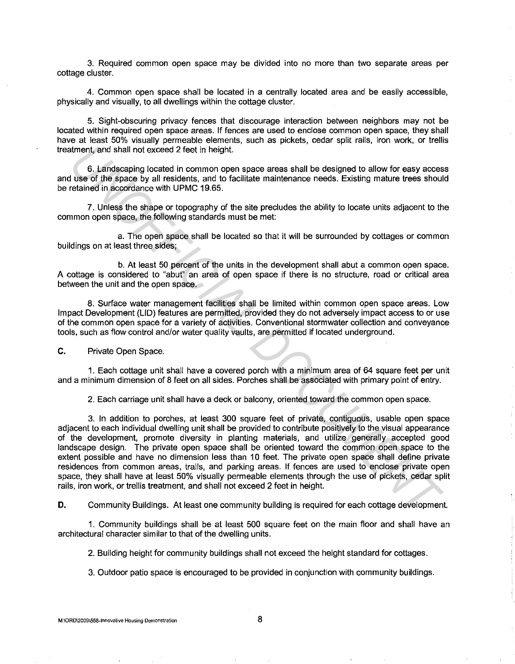3. Required common open space may be divided into no more than two separate areas per cottage cluster.

4. Common open space shall be located in a centrally located area and be easily accessible, physically and visually, to all dwellings within the cottage cluster.

5. Sight-obscuring privacy fences that discourage interaction between neighbors may not be located within required open space areas. If fences are used to enclose common open space, they shall have at least 50% visually permeable elements, such as pickets, cedar split rails, iron work, or trellis treatment, and shall not exceed 2 feet in height.

6. Landscaping located in common open space areas shall be designed to allow for easy access and use of the space by all residents, and to facilitate maintenance needs. Existing mature trees should be retained in accordance with UPMC 19.65.

7. Unless the shape or topography of the site precludes the ability to locate units adjacent to the common open space, the following standards must be met:

a. The open space shall be located so that it will be surrounded by cottages or common buildings on at least three sides;

b. At least 50 percent of the units in the development shall abut a common open space. A cottage is considered to "abut" an area of open space if there is no structure, road or critical area between the unit and the open space.

8. Surface water management facilities shall be limited within common open space areas. Low Impact Development (LID) features are permitted, provided they do not adversely impact access to or use of the common open space for a variety of activities. Conventional stormwater collection and conveyance tools, such as flow control and/or water quality vaults, are permitted if located underground.

**C.** Private Open Space.

1. Each cottage unit shall have a covered porch with a minimum area of 64 square feet per unit and a minimum dimension of 8 feet on all sides. Porches shall be associated with primary point of entry.

2. Each carriage unit shall have a deck or balcony, oriented toward the common open space.

3. In addition to porches, at least 300 square feet of private, contiguous, usable open space adjacent to each individual dwelling unit shall be provided to contribute positively to the visual appearance of the development, promote diversity in planting materials, and utilize generally accepted good landscape design. The private open space shall be oriented toward the common open space to the extent possible and have no dimension less than 10 feet. The private open space shall define private residences from common areas, trails, and parking areas. If fences are used to enclose private open space, they shall have at least 50% visually permeable elements through the use of pickets, cedar split rails, iron work, or trellis treatment, and shall not exceed 2 feet in height. thrent, and shall not exceed 2 feet in height.<br> **USE of independing located in common open space areas shall be designed to allow for easy access<br>
USE of the space by all residents, and to facilitate maintenance needs. Exi** 

**D.** Community Buildings. At least one community building is required for each cottage development.

1. Community buildings shall be at least 500 square feet on the main floor and shall have an architectural character similar to that of the dwelling units.

2. Building height for community buildings shall not exceed the height standard for cottages.

3. Outdoor patio space is encouraged to be provided in conjunction with community buildings.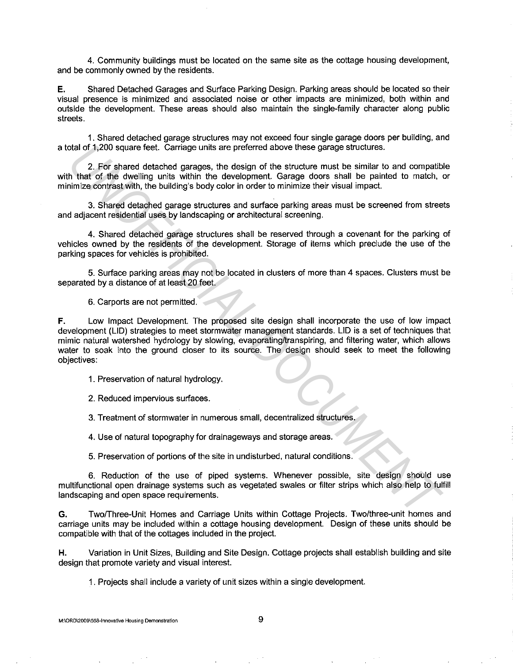4. Community buildings must be located on the same site as the cottage housing development, and be commonly owned by the residents.

**E.** Shared Detached Garages and Surface Parking Design. Parking areas should be located so their visual presence is minimized and associated noise or other impacts are minimized, both within and outside the development. These areas should also maintain the single-family character along public streets.

1. Shared detached garage structures may not exceed four single garage doors per building, and a total of 1,200 square feet. Carriage units are preferred above these garage structures.

2. For shared detached garages, the design of the structure must be similar to and compatible with that of the dwelling units within the development. Garage doors shall be painted to match, or minimize contrast with, the building's body color in order to minimize their visual impact.

3. Shared detached garage structures and surface parking areas must be screened from streets and adjacent residential uses by landscaping or architectural screening.

4. Shared detached garage structures shall be reserved through a covenant for the parking of vehicles owned by the residents of the development. Storage of items which preclude the use of the parking spaces for vehicles is prohibited.

5. Surface parking areas may not be located in clusters of more than 4 spaces. Clusters must be separated by a distance of at least 20 feet.

6. Carports are not permitted.

**F.** Low Impact Development. The proposed site design shall incorporate the use of low impact development (LID) strategies to meet stormwater management standards. LID is a set of techniques that mimic natural watershed hydrology by slowing, evaporating/transpiring, and filtering water, which allows water to soak into the ground closer to its source. The design should seek to meet the following objectives: olal of 1,200 square feet. Carriage units are preferred above these garage structures.<br>
2. For shared detached garages, the design of the structure must be similar to and compatible that of the dwelling units with the deve

1. Preservation of natural hydrology.

2. Reduced impervious surfaces.

3. Treatment of stormwater in numerous small, decentralized structures.

4. Use of natural topography for drainageways and storage areas.

5. Preservation of portions of the site in undisturbed, natural conditions.

6. Reduction of the use of piped systems. Whenever possible, site design should use multifunctional open drainage systems such as vegetated swales or filter strips which also help to fulfill landscaping and open space requirements.

**G.** Two/Three-Unit Homes and Carriage Units within Cottage Projects. Two/three-unit homes and carriage units may be included within a cottage housing development. Design of these units should be compatible with that of the cottages included in the project.

**H.** Variation in Unit Sizes, Building and Site Design. Cottage projects shall establish building and site design that promote variety and visual interest.

1. Projects shall include a variety of unit sizes within a single development.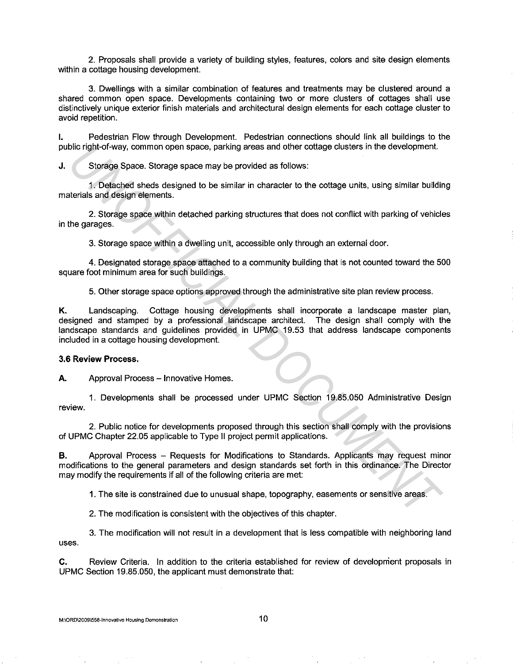2. Proposals shall provide a variety of building styles, features, colors and site design elements within a cottage housing development.

3. Dwellings with a similar combination of features and treatments may be clustered around a shared common open space. Developments containing two or more clusters of cottages shall use distinctively unique exterior finish materials and architectural design elements for each cottage cluster to avoid repetition.

I. Pedestrian Flow through Development. Pedestrian connections should link all buildings to the public right-of-way, common open space, parking areas and other cottage clusters in the development.

**J.** Storage Space. Storage space may be provided as follows:

1. Detached sheds designed to be similar in character to the cottage units, using similar building materials and design elements.

2. Storage space within detached parking structures that does not conflict with parking of vehicles in the garages.

3. Storage space within a dwelling unit, accessible only through an external door.

4. Designated storage space attached to a community building that is not counted toward the 500 square foot minimum area for such buildings.

5. Other storage space options approved through the administrative site plan review process.

**K.** Landscaping. Cottage housing developments shall incorporate a landscape master plan, designed and stamped by a professional landscape architect. The design shall comply with the landscape standards and guidelines provided in UPMC 19.53 that address landscape components included in a cottage housing development. blic right-of-way, common open space, parking areas and other cottage clusters in the development.<br>
Storage Space. Storage space may be provided as follows:<br>
1. Detached sheds designed to be similar in character to the cot

### **3.6 Review Process.**

A. Approval Process - Innovative Homes.

1. Developments shall be processed under UPMC Section 19.85.050 Administrative Design review.

2. Public notice for developments proposed through this section shall comply with the provisions of UPMC Chapter 22.05 applicable to Type II project permit applications.

**B.** Approval Process – Requests for Modifications to Standards. Applicants may request minor modifications to the general parameters and design standards set forth in this ordinance. The Director may modify the requirements if all of the following criteria are met:

1. The site is constrained due to unusual shape, topography, easements or sensitive areas.

2. The modification is consistent with the objectives of this chapter.

3. The modification will not result in a development that is less compatible with neighboring land uses.

**C.** Review Criteria. In addition to the criteria established for review of development proposals in UPMC Section 19.85.050, the applicant must demonstrate that: